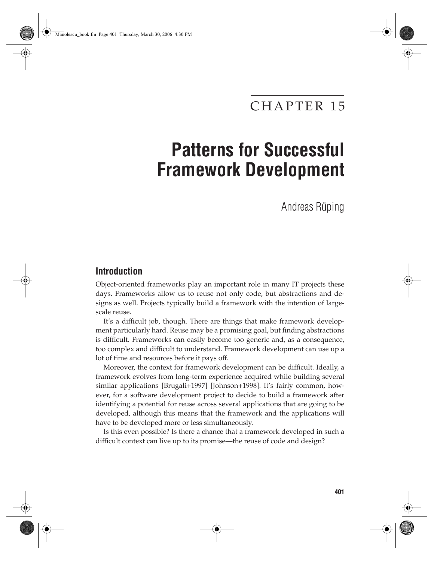## CHAPTER 15

# **Patterns for Successful Framework Development**

Andreas Rüping

### **Introduction**

Object-oriented frameworks play an important role in many IT projects these days. Frameworks allow us to reuse not only code, but abstractions and designs as well. Projects typically build a framework with the intention of largescale reuse.

It's a difficult job, though. There are things that make framework development particularly hard. Reuse may be a promising goal, but finding abstractions is difficult. Frameworks can easily become too generic and, as a consequence, too complex and difficult to understand. Framework development can use up a lot of time and resources before it pays off.

Moreover, the context for framework development can be difficult. Ideally, a framework evolves from long-term experience acquired while building several similar applications [Brugali+1997] [Johnson+1998]. It's fairly common, however, for a software development project to decide to build a framework after identifying a potential for reuse across several applications that are going to be developed, although this means that the framework and the applications will have to be developed more or less simultaneously.

Is this even possible? Is there a chance that a framework developed in such a difficult context can live up to its promise—the reuse of code and design?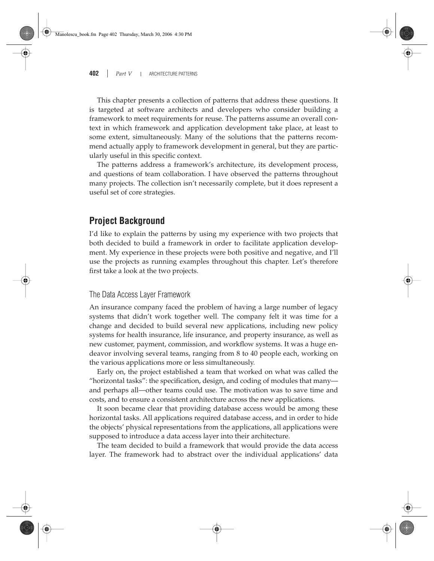This chapter presents a collection of patterns that address these questions. It is targeted at software architects and developers who consider building a framework to meet requirements for reuse. The patterns assume an overall context in which framework and application development take place, at least to some extent, simultaneously. Many of the solutions that the patterns recommend actually apply to framework development in general, but they are particularly useful in this specific context.

The patterns address a framework's architecture, its development process, and questions of team collaboration. I have observed the patterns throughout many projects. The collection isn't necessarily complete, but it does represent a useful set of core strategies.

### **Project Background**

I'd like to explain the patterns by using my experience with two projects that both decided to build a framework in order to facilitate application development. My experience in these projects were both positive and negative, and I'll use the projects as running examples throughout this chapter. Let's therefore first take a look at the two projects.

### The Data Access Layer Framework

An insurance company faced the problem of having a large number of legacy systems that didn't work together well. The company felt it was time for a change and decided to build several new applications, including new policy systems for health insurance, life insurance, and property insurance, as well as new customer, payment, commission, and workflow systems. It was a huge endeavor involving several teams, ranging from 8 to 40 people each, working on the various applications more or less simultaneously.

Early on, the project established a team that worked on what was called the "horizontal tasks": the specification, design, and coding of modules that many and perhaps all—other teams could use. The motivation was to save time and costs, and to ensure a consistent architecture across the new applications.

It soon became clear that providing database access would be among these horizontal tasks. All applications required database access, and in order to hide the objects' physical representations from the applications, all applications were supposed to introduce a data access layer into their architecture.

The team decided to build a framework that would provide the data access layer. The framework had to abstract over the individual applications' data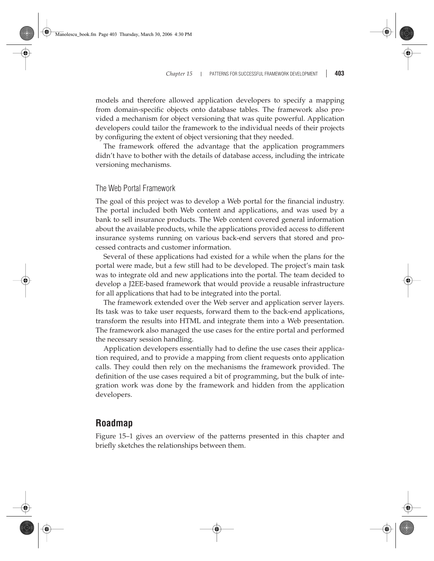#### *Chapter 15* PATTERNS FOR SUCCESSFUL FRAMEWORK DEVELOPMENT **403**

models and therefore allowed application developers to specify a mapping from domain-specific objects onto database tables. The framework also provided a mechanism for object versioning that was quite powerful. Application developers could tailor the framework to the individual needs of their projects by configuring the extent of object versioning that they needed.

The framework offered the advantage that the application programmers didn't have to bother with the details of database access, including the intricate versioning mechanisms.

### The Web Portal Framework

The goal of this project was to develop a Web portal for the financial industry. The portal included both Web content and applications, and was used by a bank to sell insurance products. The Web content covered general information about the available products, while the applications provided access to different insurance systems running on various back-end servers that stored and processed contracts and customer information.

Several of these applications had existed for a while when the plans for the portal were made, but a few still had to be developed. The project's main task was to integrate old and new applications into the portal. The team decided to develop a J2EE-based framework that would provide a reusable infrastructure for all applications that had to be integrated into the portal.

The framework extended over the Web server and application server layers. Its task was to take user requests, forward them to the back-end applications, transform the results into HTML and integrate them into a Web presentation. The framework also managed the use cases for the entire portal and performed the necessary session handling.

Application developers essentially had to define the use cases their application required, and to provide a mapping from client requests onto application calls. They could then rely on the mechanisms the framework provided. The definition of the use cases required a bit of programming, but the bulk of integration work was done by the framework and hidden from the application developers.

### **Roadmap**

Figure 15–1 gives an overview of the patterns presented in this chapter and briefly sketches the relationships between them.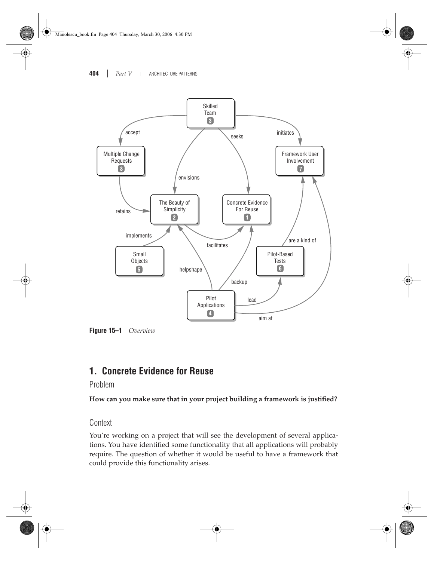

**Figure 15–1** *Overview*

### **1. Concrete Evidence for Reuse**

Problem

**How can you make sure that in your project building a framework is justified?**

Context

You're working on a project that will see the development of several applications. You have identified some functionality that all applications will probably require. The question of whether it would be useful to have a framework that could provide this functionality arises.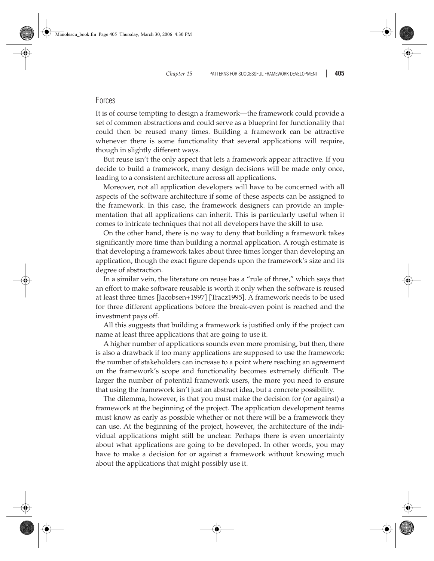### Forces

It is of course tempting to design a framework—the framework could provide a set of common abstractions and could serve as a blueprint for functionality that could then be reused many times. Building a framework can be attractive whenever there is some functionality that several applications will require, though in slightly different ways.

But reuse isn't the only aspect that lets a framework appear attractive. If you decide to build a framework, many design decisions will be made only once, leading to a consistent architecture across all applications.

Moreover, not all application developers will have to be concerned with all aspects of the software architecture if some of these aspects can be assigned to the framework. In this case, the framework designers can provide an implementation that all applications can inherit. This is particularly useful when it comes to intricate techniques that not all developers have the skill to use.

On the other hand, there is no way to deny that building a framework takes significantly more time than building a normal application. A rough estimate is that developing a framework takes about three times longer than developing an application, though the exact figure depends upon the framework's size and its degree of abstraction.

In a similar vein, the literature on reuse has a "rule of three," which says that an effort to make software reusable is worth it only when the software is reused at least three times [Jacobsen+1997] [Tracz1995]. A framework needs to be used for three different applications before the break-even point is reached and the investment pays off.

All this suggests that building a framework is justified only if the project can name at least three applications that are going to use it.

A higher number of applications sounds even more promising, but then, there is also a drawback if too many applications are supposed to use the framework: the number of stakeholders can increase to a point where reaching an agreement on the framework's scope and functionality becomes extremely difficult. The larger the number of potential framework users, the more you need to ensure that using the framework isn't just an abstract idea, but a concrete possibility.

The dilemma, however, is that you must make the decision for (or against) a framework at the beginning of the project. The application development teams must know as early as possible whether or not there will be a framework they can use. At the beginning of the project, however, the architecture of the individual applications might still be unclear. Perhaps there is even uncertainty about what applications are going to be developed. In other words, you may have to make a decision for or against a framework without knowing much about the applications that might possibly use it.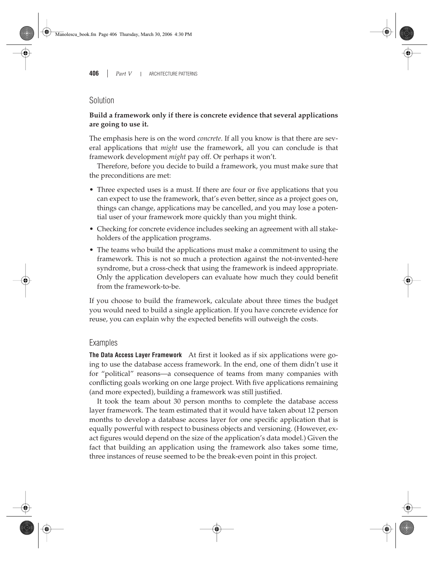### Solution

### **Build a framework only if there is concrete evidence that several applications are going to use it.**

The emphasis here is on the word *concrete*. If all you know is that there are several applications that *might* use the framework, all you can conclude is that framework development *might* pay off. Or perhaps it won't.

Therefore, before you decide to build a framework, you must make sure that the preconditions are met:

- Three expected uses is a must. If there are four or five applications that you can expect to use the framework, that's even better, since as a project goes on, things can change, applications may be cancelled, and you may lose a potential user of your framework more quickly than you might think.
- Checking for concrete evidence includes seeking an agreement with all stakeholders of the application programs.
- The teams who build the applications must make a commitment to using the framework. This is not so much a protection against the not-invented-here syndrome, but a cross-check that using the framework is indeed appropriate. Only the application developers can evaluate how much they could benefit from the framework-to-be.

If you choose to build the framework, calculate about three times the budget you would need to build a single application. If you have concrete evidence for reuse, you can explain why the expected benefits will outweigh the costs.

### Examples

**The Data Access Layer Framework** At first it looked as if six applications were going to use the database access framework. In the end, one of them didn't use it for "political" reasons—a consequence of teams from many companies with conflicting goals working on one large project. With five applications remaining (and more expected), building a framework was still justified.

It took the team about 30 person months to complete the database access layer framework. The team estimated that it would have taken about 12 person months to develop a database access layer for one specific application that is equally powerful with respect to business objects and versioning. (However, exact figures would depend on the size of the application's data model.) Given the fact that building an application using the framework also takes some time, three instances of reuse seemed to be the break-even point in this project.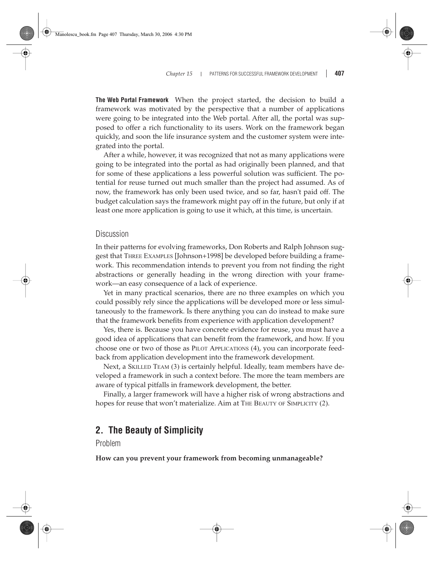#### *Chapter 15* PATTERNS FOR SUCCESSFUL FRAMEWORK DEVELOPMENT **407**

**The Web Portal Framework** When the project started, the decision to build a framework was motivated by the perspective that a number of applications were going to be integrated into the Web portal. After all, the portal was supposed to offer a rich functionality to its users. Work on the framework began quickly, and soon the life insurance system and the customer system were integrated into the portal.

After a while, however, it was recognized that not as many applications were going to be integrated into the portal as had originally been planned, and that for some of these applications a less powerful solution was sufficient. The potential for reuse turned out much smaller than the project had assumed. As of now, the framework has only been used twice, and so far, hasn't paid off. The budget calculation says the framework might pay off in the future, but only if at least one more application is going to use it which, at this time, is uncertain.

### **Discussion**

In their patterns for evolving frameworks, Don Roberts and Ralph Johnson suggest that THREE EXAMPLES [Johnson+1998] be developed before building a framework. This recommendation intends to prevent you from not finding the right abstractions or generally heading in the wrong direction with your framework—an easy consequence of a lack of experience.

Yet in many practical scenarios, there are no three examples on which you could possibly rely since the applications will be developed more or less simultaneously to the framework. Is there anything you can do instead to make sure that the framework benefits from experience with application development?

Yes, there is. Because you have concrete evidence for reuse, you must have a good idea of applications that can benefit from the framework, and how. If you choose one or two of those as PILOT APPLICATIONS (4), you can incorporate feedback from application development into the framework development.

Next, a SKILLED TEAM (3) is certainly helpful. Ideally, team members have developed a framework in such a context before. The more the team members are aware of typical pitfalls in framework development, the better.

Finally, a larger framework will have a higher risk of wrong abstractions and hopes for reuse that won't materialize. Aim at THE BEAUTY OF SIMPLICITY (2).

### **2. The Beauty of Simplicity**

Problem

**How can you prevent your framework from becoming unmanageable?**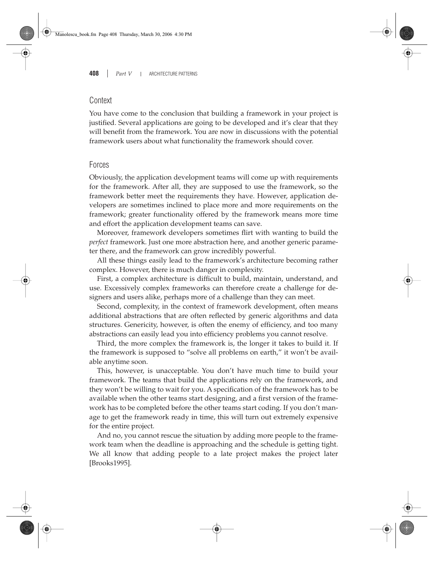### **Context**

You have come to the conclusion that building a framework in your project is justified. Several applications are going to be developed and it's clear that they will benefit from the framework. You are now in discussions with the potential framework users about what functionality the framework should cover.

### Forces

Obviously, the application development teams will come up with requirements for the framework. After all, they are supposed to use the framework, so the framework better meet the requirements they have. However, application developers are sometimes inclined to place more and more requirements on the framework; greater functionality offered by the framework means more time and effort the application development teams can save.

Moreover, framework developers sometimes flirt with wanting to build the *perfect* framework. Just one more abstraction here, and another generic parameter there, and the framework can grow incredibly powerful.

All these things easily lead to the framework's architecture becoming rather complex. However, there is much danger in complexity.

First, a complex architecture is difficult to build, maintain, understand, and use. Excessively complex frameworks can therefore create a challenge for designers and users alike, perhaps more of a challenge than they can meet.

Second, complexity, in the context of framework development, often means additional abstractions that are often reflected by generic algorithms and data structures. Genericity, however, is often the enemy of efficiency, and too many abstractions can easily lead you into efficiency problems you cannot resolve.

Third, the more complex the framework is, the longer it takes to build it. If the framework is supposed to "solve all problems on earth," it won't be available anytime soon.

This, however, is unacceptable. You don't have much time to build your framework. The teams that build the applications rely on the framework, and they won't be willing to wait for you. A specification of the framework has to be available when the other teams start designing, and a first version of the framework has to be completed before the other teams start coding. If you don't manage to get the framework ready in time, this will turn out extremely expensive for the entire project.

And no, you cannot rescue the situation by adding more people to the framework team when the deadline is approaching and the schedule is getting tight. We all know that adding people to a late project makes the project later [Brooks1995].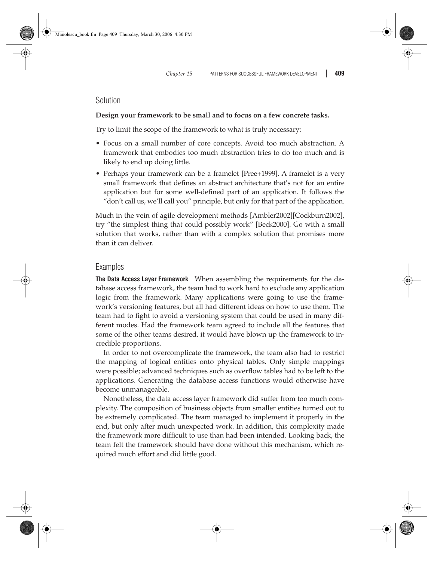### Solution

#### **Design your framework to be small and to focus on a few concrete tasks.**

Try to limit the scope of the framework to what is truly necessary:

- Focus on a small number of core concepts. Avoid too much abstraction. A framework that embodies too much abstraction tries to do too much and is likely to end up doing little.
- Perhaps your framework can be a framelet [Pree+1999]. A framelet is a very small framework that defines an abstract architecture that's not for an entire application but for some well-defined part of an application. It follows the "don't call us, we'll call you" principle, but only for that part of the application.

Much in the vein of agile development methods [Ambler2002][Cockburn2002], try "the simplest thing that could possibly work" [Beck2000]. Go with a small solution that works, rather than with a complex solution that promises more than it can deliver.

#### Examples

**The Data Access Layer Framework** When assembling the requirements for the database access framework, the team had to work hard to exclude any application logic from the framework. Many applications were going to use the framework's versioning features, but all had different ideas on how to use them. The team had to fight to avoid a versioning system that could be used in many different modes. Had the framework team agreed to include all the features that some of the other teams desired, it would have blown up the framework to incredible proportions.

In order to not overcomplicate the framework, the team also had to restrict the mapping of logical entities onto physical tables. Only simple mappings were possible; advanced techniques such as overflow tables had to be left to the applications. Generating the database access functions would otherwise have become unmanageable.

Nonetheless, the data access layer framework did suffer from too much complexity. The composition of business objects from smaller entities turned out to be extremely complicated. The team managed to implement it properly in the end, but only after much unexpected work. In addition, this complexity made the framework more difficult to use than had been intended. Looking back, the team felt the framework should have done without this mechanism, which required much effort and did little good.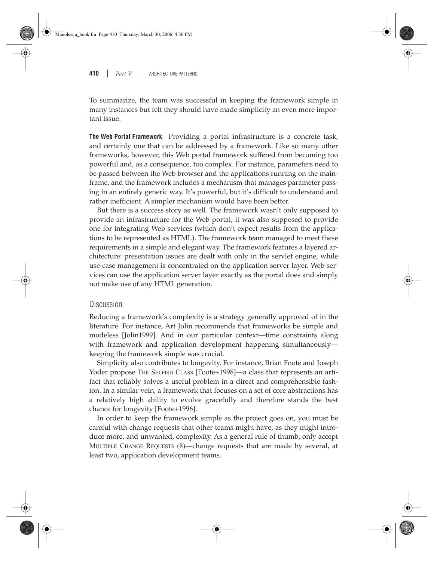To summarize, the team was successful in keeping the framework simple in many instances but felt they should have made simplicity an even more important issue.

**The Web Portal Framework** Providing a portal infrastructure is a concrete task, and certainly one that can be addressed by a framework. Like so many other frameworks, however, this Web portal framework suffered from becoming too powerful and, as a consequence, too complex. For instance, parameters need to be passed between the Web browser and the applications running on the mainframe, and the framework includes a mechanism that manages parameter passing in an entirely generic way. It's powerful, but it's difficult to understand and rather inefficient. A simpler mechanism would have been better.

But there is a success story as well. The framework wasn't only supposed to provide an infrastructure for the Web portal; it was also supposed to provide one for integrating Web services (which don't expect results from the applications to be represented as HTML). The framework team managed to meet these requirements in a simple and elegant way. The framework features a layered architecture: presentation issues are dealt with only in the servlet engine, while use-case management is concentrated on the application server layer. Web services can use the application server layer exactly as the portal does and simply not make use of any HTML generation.

### Discussion

Reducing a framework's complexity is a strategy generally approved of in the literature. For instance, Art Jolin recommends that frameworks be simple and modeless [Jolin1999]. And in our particular context—time constraints along with framework and application development happening simultaneously keeping the framework simple was crucial.

Simplicity also contributes to longevity. For instance, Brian Foote and Joseph Yoder propose THE SELFISH CLASS [Foote+1998]—a class that represents an artifact that reliably solves a useful problem in a direct and comprehensible fashion. In a similar vein, a framework that focuses on a set of core abstractions has a relatively high ability to evolve gracefully and therefore stands the best chance for longevity [Foote+1996].

In order to keep the framework simple as the project goes on, you must be careful with change requests that other teams might have, as they might introduce more, and unwanted, complexity. As a general rule of thumb, only accept MULTIPLE CHANGE REQUESTS (8)—change requests that are made by several, at least two, application development teams.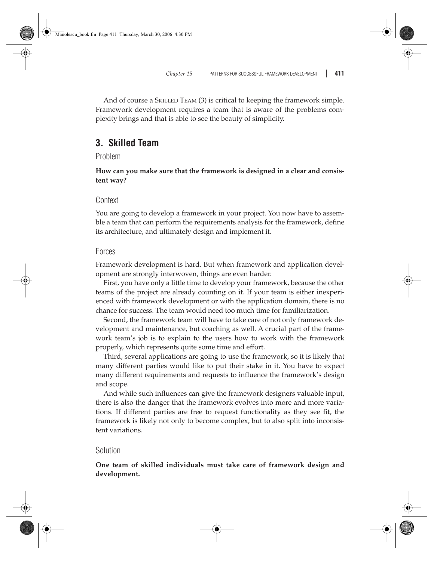And of course a SKILLED TEAM (3) is critical to keeping the framework simple. Framework development requires a team that is aware of the problems complexity brings and that is able to see the beauty of simplicity.

### **3. Skilled Team**

Problem

**How can you make sure that the framework is designed in a clear and consistent way?**

### Context

You are going to develop a framework in your project. You now have to assemble a team that can perform the requirements analysis for the framework, define its architecture, and ultimately design and implement it.

### Forces

Framework development is hard. But when framework and application development are strongly interwoven, things are even harder.

First, you have only a little time to develop your framework, because the other teams of the project are already counting on it. If your team is either inexperienced with framework development or with the application domain, there is no chance for success. The team would need too much time for familiarization.

Second, the framework team will have to take care of not only framework development and maintenance, but coaching as well. A crucial part of the framework team's job is to explain to the users how to work with the framework properly, which represents quite some time and effort.

Third, several applications are going to use the framework, so it is likely that many different parties would like to put their stake in it. You have to expect many different requirements and requests to influence the framework's design and scope.

And while such influences can give the framework designers valuable input, there is also the danger that the framework evolves into more and more variations. If different parties are free to request functionality as they see fit, the framework is likely not only to become complex, but to also split into inconsistent variations.

### Solution

**One team of skilled individuals must take care of framework design and development.**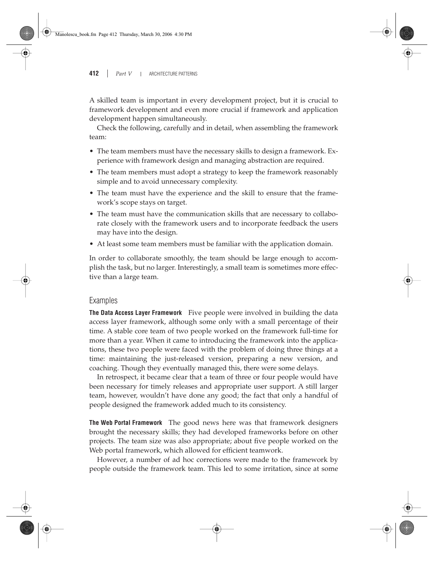A skilled team is important in every development project, but it is crucial to framework development and even more crucial if framework and application development happen simultaneously.

Check the following, carefully and in detail, when assembling the framework team:

- The team members must have the necessary skills to design a framework. Experience with framework design and managing abstraction are required.
- The team members must adopt a strategy to keep the framework reasonably simple and to avoid unnecessary complexity.
- The team must have the experience and the skill to ensure that the framework's scope stays on target.
- The team must have the communication skills that are necessary to collaborate closely with the framework users and to incorporate feedback the users may have into the design.
- At least some team members must be familiar with the application domain.

In order to collaborate smoothly, the team should be large enough to accomplish the task, but no larger. Interestingly, a small team is sometimes more effective than a large team.

### Examples

**The Data Access Layer Framework** Five people were involved in building the data access layer framework, although some only with a small percentage of their time. A stable core team of two people worked on the framework full-time for more than a year. When it came to introducing the framework into the applications, these two people were faced with the problem of doing three things at a time: maintaining the just-released version, preparing a new version, and coaching. Though they eventually managed this, there were some delays.

In retrospect, it became clear that a team of three or four people would have been necessary for timely releases and appropriate user support. A still larger team, however, wouldn't have done any good; the fact that only a handful of people designed the framework added much to its consistency.

**The Web Portal Framework** The good news here was that framework designers brought the necessary skills; they had developed frameworks before on other projects. The team size was also appropriate; about five people worked on the Web portal framework, which allowed for efficient teamwork.

However, a number of ad hoc corrections were made to the framework by people outside the framework team. This led to some irritation, since at some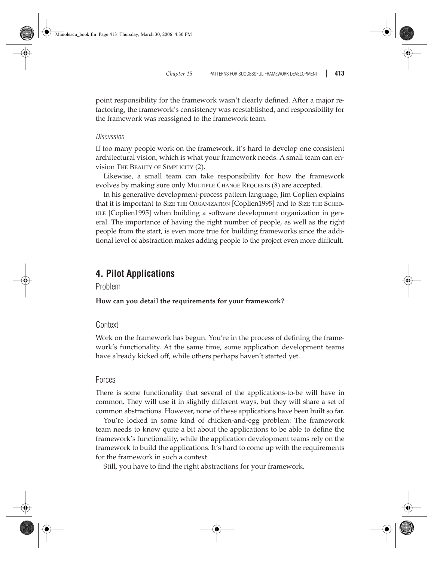point responsibility for the framework wasn't clearly defined. After a major refactoring, the framework's consistency was reestablished, and responsibility for the framework was reassigned to the framework team.

#### *Discussion*

If too many people work on the framework, it's hard to develop one consistent architectural vision, which is what your framework needs. A small team can envision THE BEAUTY OF SIMPLICITY (2).

Likewise, a small team can take responsibility for how the framework evolves by making sure only MULTIPLE CHANGE REQUESTS (8) are accepted.

In his generative development-process pattern language, Jim Coplien explains that it is important to SIZE THE ORGANIZATION [Coplien1995] and to SIZE THE SCHED-ULE [Coplien1995] when building a software development organization in general. The importance of having the right number of people, as well as the right people from the start, is even more true for building frameworks since the additional level of abstraction makes adding people to the project even more difficult.

### **4. Pilot Applications**

Problem

### **How can you detail the requirements for your framework?**

### Context

Work on the framework has begun. You're in the process of defining the framework's functionality. At the same time, some application development teams have already kicked off, while others perhaps haven't started yet.

### Forces

There is some functionality that several of the applications-to-be will have in common. They will use it in slightly different ways, but they will share a set of common abstractions. However, none of these applications have been built so far.

You're locked in some kind of chicken-and-egg problem: The framework team needs to know quite a bit about the applications to be able to define the framework's functionality, while the application development teams rely on the framework to build the applications. It's hard to come up with the requirements for the framework in such a context.

Still, you have to find the right abstractions for your framework.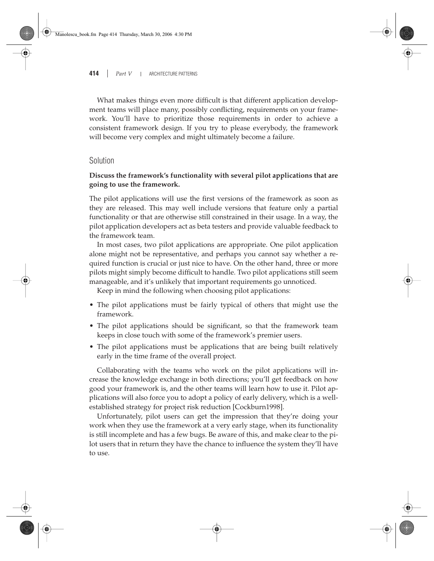What makes things even more difficult is that different application development teams will place many, possibly conflicting, requirements on your framework. You'll have to prioritize those requirements in order to achieve a consistent framework design. If you try to please everybody, the framework will become very complex and might ultimately become a failure.

### Solution

### **Discuss the framework's functionality with several pilot applications that are going to use the framework.**

The pilot applications will use the first versions of the framework as soon as they are released. This may well include versions that feature only a partial functionality or that are otherwise still constrained in their usage. In a way, the pilot application developers act as beta testers and provide valuable feedback to the framework team.

In most cases, two pilot applications are appropriate. One pilot application alone might not be representative, and perhaps you cannot say whether a required function is crucial or just nice to have. On the other hand, three or more pilots might simply become difficult to handle. Two pilot applications still seem manageable, and it's unlikely that important requirements go unnoticed.

Keep in mind the following when choosing pilot applications:

- The pilot applications must be fairly typical of others that might use the framework.
- The pilot applications should be significant, so that the framework team keeps in close touch with some of the framework's premier users.
- The pilot applications must be applications that are being built relatively early in the time frame of the overall project.

Collaborating with the teams who work on the pilot applications will increase the knowledge exchange in both directions; you'll get feedback on how good your framework is, and the other teams will learn how to use it. Pilot applications will also force you to adopt a policy of early delivery, which is a wellestablished strategy for project risk reduction [Cockburn1998].

Unfortunately, pilot users can get the impression that they're doing your work when they use the framework at a very early stage, when its functionality is still incomplete and has a few bugs. Be aware of this, and make clear to the pilot users that in return they have the chance to influence the system they'll have to use.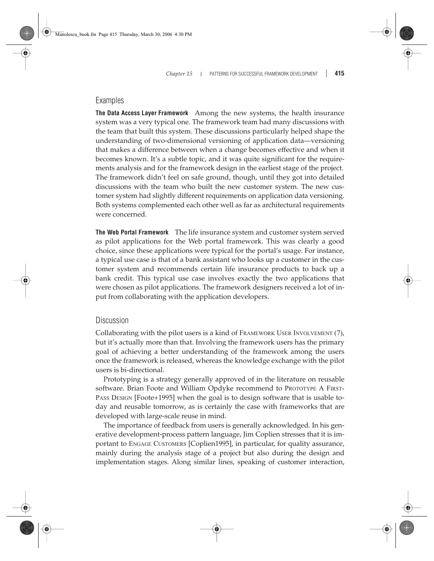### Examples

**The Data Access Layer Framework** Among the new systems, the health insurance system was a very typical one. The framework team had many discussions with the team that built this system. These discussions particularly helped shape the understanding of two-dimensional versioning of application data—versioning that makes a difference between when a change becomes effective and when it becomes known. It's a subtle topic, and it was quite significant for the requirements analysis and for the framework design in the earliest stage of the project. The framework didn't feel on safe ground, though, until they got into detailed discussions with the team who built the new customer system. The new customer system had slightly different requirements on application data versioning. Both systems complemented each other well as far as architectural requirements were concerned.

**The Web Portal Framework** The life insurance system and customer system served as pilot applications for the Web portal framework. This was clearly a good choice, since these applications were typical for the portal's usage. For instance, a typical use case is that of a bank assistant who looks up a customer in the customer system and recommends certain life insurance products to back up a bank credit. This typical use case involves exactly the two applications that were chosen as pilot applications. The framework designers received a lot of input from collaborating with the application developers.

### **Discussion**

Collaborating with the pilot users is a kind of FRAMEWORK USER INVOLVEMENT (7), but it's actually more than that. Involving the framework users has the primary goal of achieving a better understanding of the framework among the users once the framework is released, whereas the knowledge exchange with the pilot users is bi-directional.

Prototyping is a strategy generally approved of in the literature on reusable software. Brian Foote and William Opdyke recommend to PROTOTYPE A FIRST-PASS DESIGN [Foote+1995] when the goal is to design software that is usable today and reusable tomorrow, as is certainly the case with frameworks that are developed with large-scale reuse in mind.

The importance of feedback from users is generally acknowledged. In his generative development-process pattern language, Jim Coplien stresses that it is important to ENGAGE CUSTOMERS [Coplien1995], in particular, for quality assurance, mainly during the analysis stage of a project but also during the design and implementation stages. Along similar lines, speaking of customer interaction,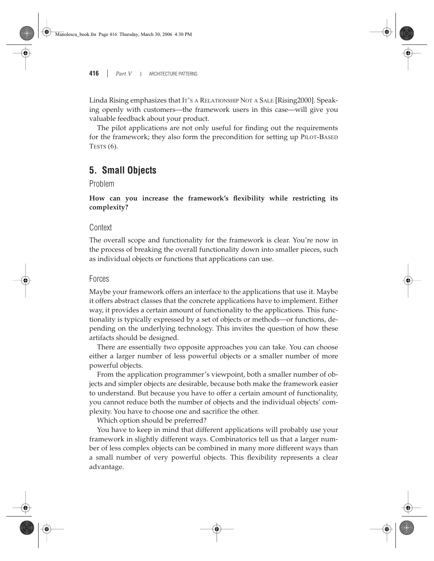Linda Rising emphasizes that IT'S A RELATIONSHIP NOT A SALE [Rising2000]. Speaking openly with customers—the framework users in this case—will give you valuable feedback about your product.

The pilot applications are not only useful for finding out the requirements for the framework; they also form the precondition for setting up PILOT-BASED TESTS  $(6)$ .

### **5. Small Objects**

Problem

**How can you increase the framework's flexibility while restricting its complexity?**

### Context

The overall scope and functionality for the framework is clear. You're now in the process of breaking the overall functionality down into smaller pieces, such as individual objects or functions that applications can use.

#### Forces

Maybe your framework offers an interface to the applications that use it. Maybe it offers abstract classes that the concrete applications have to implement. Either way, it provides a certain amount of functionality to the applications. This functionality is typically expressed by a set of objects or methods—or functions, depending on the underlying technology. This invites the question of how these artifacts should be designed.

There are essentially two opposite approaches you can take. You can choose either a larger number of less powerful objects or a smaller number of more powerful objects.

From the application programmer's viewpoint, both a smaller number of objects and simpler objects are desirable, because both make the framework easier to understand. But because you have to offer a certain amount of functionality, you cannot reduce both the number of objects and the individual objects' complexity. You have to choose one and sacrifice the other.

Which option should be preferred?

You have to keep in mind that different applications will probably use your framework in slightly different ways. Combinatorics tell us that a larger number of less complex objects can be combined in many more different ways than a small number of very powerful objects. This flexibility represents a clear advantage.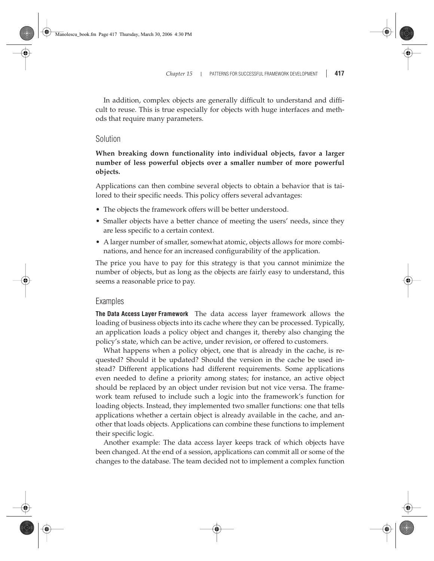In addition, complex objects are generally difficult to understand and difficult to reuse. This is true especially for objects with huge interfaces and methods that require many parameters.

### Solution

**When breaking down functionality into individual objects, favor a larger number of less powerful objects over a smaller number of more powerful objects.**

Applications can then combine several objects to obtain a behavior that is tailored to their specific needs. This policy offers several advantages:

- The objects the framework offers will be better understood.
- Smaller objects have a better chance of meeting the users' needs, since they are less specific to a certain context.
- A larger number of smaller, somewhat atomic, objects allows for more combinations, and hence for an increased configurability of the application.

The price you have to pay for this strategy is that you cannot minimize the number of objects, but as long as the objects are fairly easy to understand, this seems a reasonable price to pay.

### Examples

**The Data Access Layer Framework** The data access layer framework allows the loading of business objects into its cache where they can be processed. Typically, an application loads a policy object and changes it, thereby also changing the policy's state, which can be active, under revision, or offered to customers.

What happens when a policy object, one that is already in the cache, is requested? Should it be updated? Should the version in the cache be used instead? Different applications had different requirements. Some applications even needed to define a priority among states; for instance, an active object should be replaced by an object under revision but not vice versa. The framework team refused to include such a logic into the framework's function for loading objects. Instead, they implemented two smaller functions: one that tells applications whether a certain object is already available in the cache, and another that loads objects. Applications can combine these functions to implement their specific logic.

Another example: The data access layer keeps track of which objects have been changed. At the end of a session, applications can commit all or some of the changes to the database. The team decided not to implement a complex function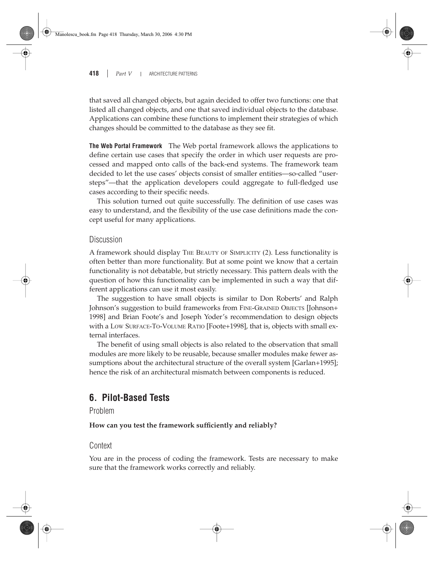that saved all changed objects, but again decided to offer two functions: one that listed all changed objects, and one that saved individual objects to the database. Applications can combine these functions to implement their strategies of which changes should be committed to the database as they see fit.

**The Web Portal Framework** The Web portal framework allows the applications to define certain use cases that specify the order in which user requests are processed and mapped onto calls of the back-end systems. The framework team decided to let the use cases' objects consist of smaller entities—so-called "usersteps"—that the application developers could aggregate to full-fledged use cases according to their specific needs.

This solution turned out quite successfully. The definition of use cases was easy to understand, and the flexibility of the use case definitions made the concept useful for many applications.

#### Discussion

A framework should display THE BEAUTY OF SIMPLICITY (2). Less functionality is often better than more functionality. But at some point we know that a certain functionality is not debatable, but strictly necessary. This pattern deals with the question of how this functionality can be implemented in such a way that different applications can use it most easily.

The suggestion to have small objects is similar to Don Roberts' and Ralph Johnson's suggestion to build frameworks from FINE-GRAINED OBJECTS [Johnson+ 1998] and Brian Foote's and Joseph Yoder's recommendation to design objects with a LOW SURFACE-TO-VOLUME RATIO [Foote+1998], that is, objects with small external interfaces.

The benefit of using small objects is also related to the observation that small modules are more likely to be reusable, because smaller modules make fewer assumptions about the architectural structure of the overall system [Garlan+1995]; hence the risk of an architectural mismatch between components is reduced.

### **6. Pilot-Based Tests**

### Problem

**How can you test the framework sufficiently and reliably?**

### Context

You are in the process of coding the framework. Tests are necessary to make sure that the framework works correctly and reliably.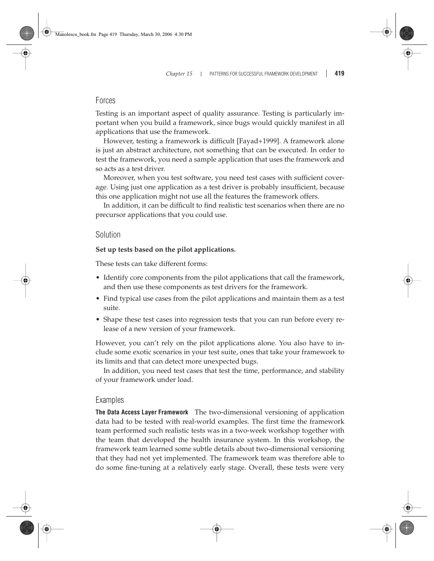### Forces

Testing is an important aspect of quality assurance. Testing is particularly important when you build a framework, since bugs would quickly manifest in all applications that use the framework.

However, testing a framework is difficult [Fayad+1999]. A framework alone is just an abstract architecture, not something that can be executed. In order to test the framework, you need a sample application that uses the framework and so acts as a test driver.

Moreover, when you test software, you need test cases with sufficient coverage. Using just one application as a test driver is probably insufficient, because this one application might not use all the features the framework offers.

In addition, it can be difficult to find realistic test scenarios when there are no precursor applications that you could use.

#### Solution

#### **Set up tests based on the pilot applications.**

These tests can take different forms:

- Identify core components from the pilot applications that call the framework, and then use these components as test drivers for the framework.
- Find typical use cases from the pilot applications and maintain them as a test suite.
- Shape these test cases into regression tests that you can run before every release of a new version of your framework.

However, you can't rely on the pilot applications alone. You also have to include some exotic scenarios in your test suite, ones that take your framework to its limits and that can detect more unexpected bugs.

In addition, you need test cases that test the time, performance, and stability of your framework under load.

#### Examples

**The Data Access Layer Framework** The two-dimensional versioning of application data had to be tested with real-world examples. The first time the framework team performed such realistic tests was in a two-week workshop together with the team that developed the health insurance system. In this workshop, the framework team learned some subtle details about two-dimensional versioning that they had not yet implemented. The framework team was therefore able to do some fine-tuning at a relatively early stage. Overall, these tests were very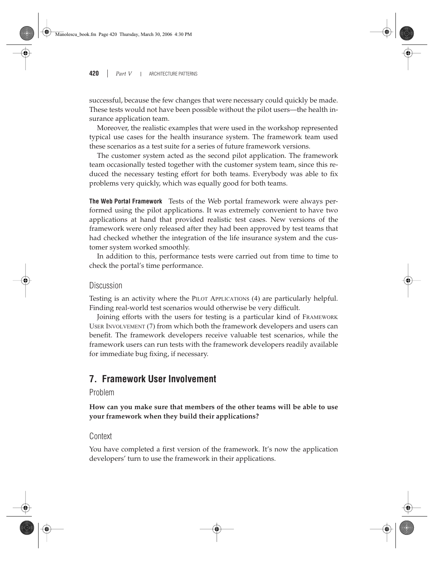successful, because the few changes that were necessary could quickly be made. These tests would not have been possible without the pilot users—the health insurance application team.

Moreover, the realistic examples that were used in the workshop represented typical use cases for the health insurance system. The framework team used these scenarios as a test suite for a series of future framework versions.

The customer system acted as the second pilot application. The framework team occasionally tested together with the customer system team, since this reduced the necessary testing effort for both teams. Everybody was able to fix problems very quickly, which was equally good for both teams.

**The Web Portal Framework** Tests of the Web portal framework were always performed using the pilot applications. It was extremely convenient to have two applications at hand that provided realistic test cases. New versions of the framework were only released after they had been approved by test teams that had checked whether the integration of the life insurance system and the customer system worked smoothly.

In addition to this, performance tests were carried out from time to time to check the portal's time performance.

### Discussion

Testing is an activity where the PILOT APPLICATIONS (4) are particularly helpful. Finding real-world test scenarios would otherwise be very difficult.

Joining efforts with the users for testing is a particular kind of FRAMEWORK USER INVOLVEMENT (7) from which both the framework developers and users can benefit. The framework developers receive valuable test scenarios, while the framework users can run tests with the framework developers readily available for immediate bug fixing, if necessary.

### **7. Framework User Involvement**

Problem

**How can you make sure that members of the other teams will be able to use your framework when they build their applications?**

### **Context**

You have completed a first version of the framework. It's now the application developers' turn to use the framework in their applications.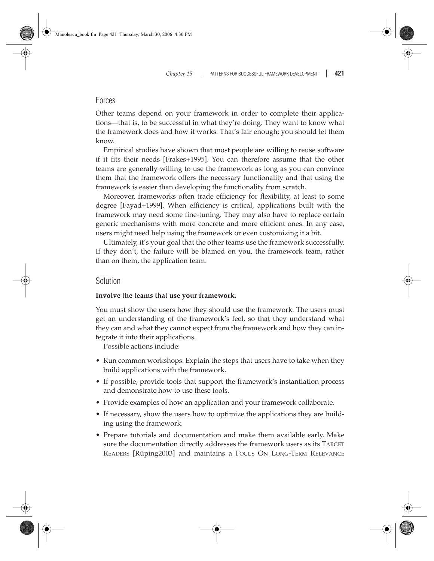### Forces

Other teams depend on your framework in order to complete their applications—that is, to be successful in what they're doing. They want to know what the framework does and how it works. That's fair enough; you should let them know.

Empirical studies have shown that most people are willing to reuse software if it fits their needs [Frakes+1995]. You can therefore assume that the other teams are generally willing to use the framework as long as you can convince them that the framework offers the necessary functionality and that using the framework is easier than developing the functionality from scratch.

Moreover, frameworks often trade efficiency for flexibility, at least to some degree [Fayad+1999]. When efficiency is critical, applications built with the framework may need some fine-tuning. They may also have to replace certain generic mechanisms with more concrete and more efficient ones. In any case, users might need help using the framework or even customizing it a bit.

Ultimately, it's your goal that the other teams use the framework successfully. If they don't, the failure will be blamed on you, the framework team, rather than on them, the application team.

### Solution

### **Involve the teams that use your framework.**

You must show the users how they should use the framework. The users must get an understanding of the framework's feel, so that they understand what they can and what they cannot expect from the framework and how they can integrate it into their applications.

Possible actions include:

- Run common workshops. Explain the steps that users have to take when they build applications with the framework.
- If possible, provide tools that support the framework's instantiation process and demonstrate how to use these tools.
- Provide examples of how an application and your framework collaborate.
- If necessary, show the users how to optimize the applications they are building using the framework.
- Prepare tutorials and documentation and make them available early. Make sure the documentation directly addresses the framework users as its TARGET READERS [Rüping2003] and maintains a FOCUS ON LONG-TERM RELEVANCE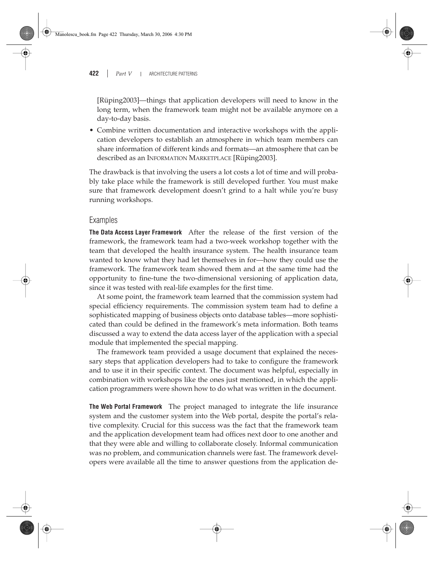[Rüping2003]—things that application developers will need to know in the long term, when the framework team might not be available anymore on a day-to-day basis.

• Combine written documentation and interactive workshops with the application developers to establish an atmosphere in which team members can share information of different kinds and formats—an atmosphere that can be described as an INFORMATION MARKETPLACE [Rüping2003].

The drawback is that involving the users a lot costs a lot of time and will probably take place while the framework is still developed further. You must make sure that framework development doesn't grind to a halt while you're busy running workshops.

### Examples

**The Data Access Layer Framework** After the release of the first version of the framework, the framework team had a two-week workshop together with the team that developed the health insurance system. The health insurance team wanted to know what they had let themselves in for—how they could use the framework. The framework team showed them and at the same time had the opportunity to fine-tune the two-dimensional versioning of application data, since it was tested with real-life examples for the first time.

At some point, the framework team learned that the commission system had special efficiency requirements. The commission system team had to define a sophisticated mapping of business objects onto database tables—more sophisticated than could be defined in the framework's meta information. Both teams discussed a way to extend the data access layer of the application with a special module that implemented the special mapping.

The framework team provided a usage document that explained the necessary steps that application developers had to take to configure the framework and to use it in their specific context. The document was helpful, especially in combination with workshops like the ones just mentioned, in which the application programmers were shown how to do what was written in the document.

**The Web Portal Framework** The project managed to integrate the life insurance system and the customer system into the Web portal, despite the portal's relative complexity. Crucial for this success was the fact that the framework team and the application development team had offices next door to one another and that they were able and willing to collaborate closely. Informal communication was no problem, and communication channels were fast. The framework developers were available all the time to answer questions from the application de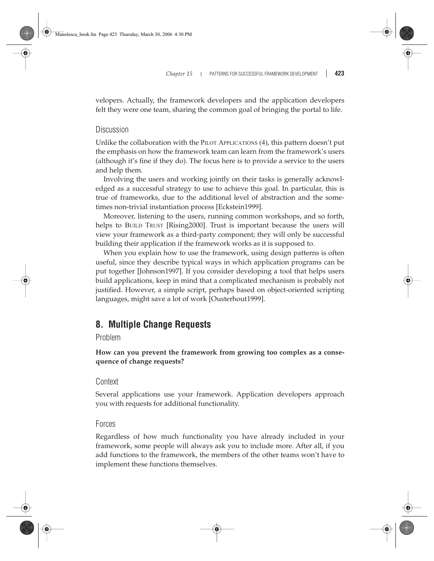velopers. Actually, the framework developers and the application developers felt they were one team, sharing the common goal of bringing the portal to life.

### **Discussion**

Unlike the collaboration with the PILOT APPLICATIONS (4), this pattern doesn't put the emphasis on how the framework team can learn from the framework's users (although it's fine if they do). The focus here is to provide a service to the users and help them.

Involving the users and working jointly on their tasks is generally acknowledged as a successful strategy to use to achieve this goal. In particular, this is true of frameworks, due to the additional level of abstraction and the sometimes non-trivial instantiation process [Eckstein1999].

Moreover, listening to the users, running common workshops, and so forth, helps to BUILD TRUST [Rising2000]. Trust is important because the users will view your framework as a third-party component; they will only be successful building their application if the framework works as it is supposed to.

When you explain how to use the framework, using design patterns is often useful, since they describe typical ways in which application programs can be put together [Johnson1997]. If you consider developing a tool that helps users build applications, keep in mind that a complicated mechanism is probably not justified. However, a simple script, perhaps based on object-oriented scripting languages, might save a lot of work [Ousterhout1999].

### **8. Multiple Change Requests**

### Problem

**How can you prevent the framework from growing too complex as a consequence of change requests?**

### **Context**

Several applications use your framework. Application developers approach you with requests for additional functionality.

### Forces

Regardless of how much functionality you have already included in your framework, some people will always ask you to include more. After all, if you add functions to the framework, the members of the other teams won't have to implement these functions themselves.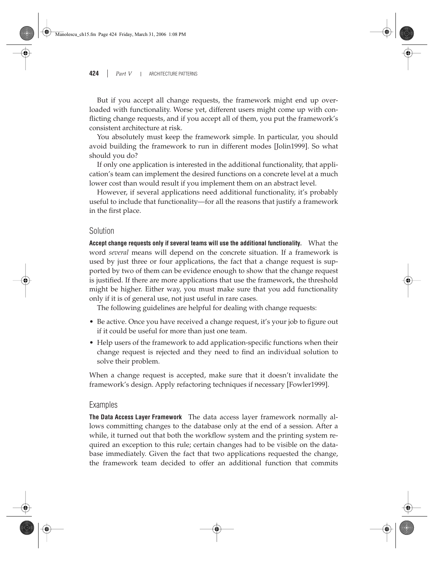But if you accept all change requests, the framework might end up overloaded with functionality. Worse yet, different users might come up with conflicting change requests, and if you accept all of them, you put the framework's consistent architecture at risk.

You absolutely must keep the framework simple. In particular, you should avoid building the framework to run in different modes [Jolin1999]. So what should you do?

If only one application is interested in the additional functionality, that application's team can implement the desired functions on a concrete level at a much lower cost than would result if you implement them on an abstract level.

However, if several applications need additional functionality, it's probably useful to include that functionality—for all the reasons that justify a framework in the first place.

### Solution

**Accept change requests only if several teams will use the additional functionality.** What the word *several* means will depend on the concrete situation. If a framework is used by just three or four applications, the fact that a change request is supported by two of them can be evidence enough to show that the change request is justified. If there are more applications that use the framework, the threshold might be higher. Either way, you must make sure that you add functionality only if it is of general use, not just useful in rare cases.

The following guidelines are helpful for dealing with change requests:

- Be active. Once you have received a change request, it's your job to figure out if it could be useful for more than just one team.
- Help users of the framework to add application-specific functions when their change request is rejected and they need to find an individual solution to solve their problem.

When a change request is accepted, make sure that it doesn't invalidate the framework's design. Apply refactoring techniques if necessary [Fowler1999].

### Examples

**The Data Access Layer Framework** The data access layer framework normally allows committing changes to the database only at the end of a session. After a while, it turned out that both the workflow system and the printing system required an exception to this rule; certain changes had to be visible on the database immediately. Given the fact that two applications requested the change, the framework team decided to offer an additional function that commits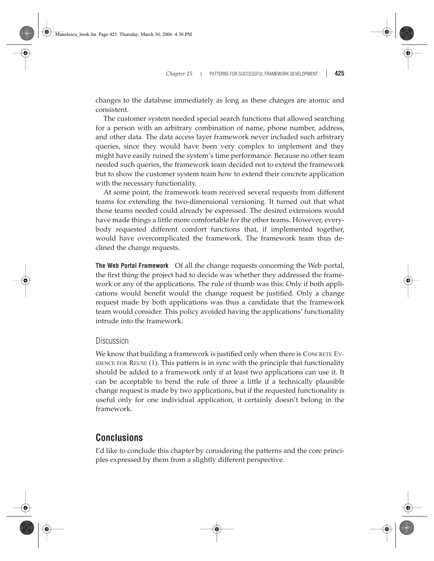changes to the database immediately as long as these changes are atomic and consistent.

The customer system needed special search functions that allowed searching for a person with an arbitrary combination of name, phone number, address, and other data. The data access layer framework never included such arbitrary queries, since they would have been very complex to implement and they might have easily ruined the system's time performance. Because no other team needed such queries, the framework team decided not to extend the framework but to show the customer system team how to extend their concrete application with the necessary functionality.

At some point, the framework team received several requests from different teams for extending the two-dimensional versioning. It turned out that what those teams needed could already be expressed. The desired extensions would have made things a little more comfortable for the other teams. However, everybody requested different comfort functions that, if implemented together, would have overcomplicated the framework. The framework team thus declined the change requests.

**The Web Portal Framework** Of all the change requests concerning the Web portal, the first thing the project had to decide was whether they addressed the framework or any of the applications. The rule of thumb was this: Only if both applications would benefit would the change request be justified. Only a change request made by both applications was thus a candidate that the framework team would consider. This policy avoided having the applications' functionality intrude into the framework.

### Discussion

We know that building a framework is justified only when there is CONCRETE EV-IDENCE FOR REUSE (1). This pattern is in sync with the principle that functionality should be added to a framework only if at least two applications can use it. It can be acceptable to bend the rule of three a little if a technically plausible change request is made by two applications, but if the requested functionality is useful only for one individual application, it certainly doesn't belong in the framework.

### **Conclusions**

I'd like to conclude this chapter by considering the patterns and the core principles expressed by them from a slightly different perspective.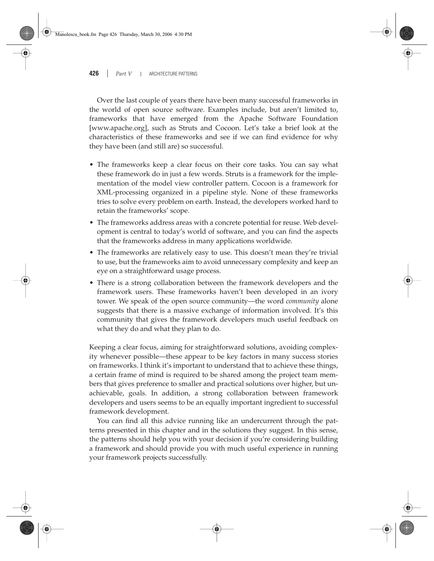Over the last couple of years there have been many successful frameworks in the world of open source software. Examples include, but aren't limited to, frameworks that have emerged from the Apache Software Foundation [www.apache.org], such as Struts and Cocoon. Let's take a brief look at the characteristics of these frameworks and see if we can find evidence for why they have been (and still are) so successful.

- The frameworks keep a clear focus on their core tasks. You can say what these framework do in just a few words. Struts is a framework for the implementation of the model view controller pattern. Cocoon is a framework for XML-processing organized in a pipeline style. None of these frameworks tries to solve every problem on earth. Instead, the developers worked hard to retain the frameworks' scope.
- The frameworks address areas with a concrete potential for reuse. Web development is central to today's world of software, and you can find the aspects that the frameworks address in many applications worldwide.
- The frameworks are relatively easy to use. This doesn't mean they're trivial to use, but the frameworks aim to avoid unnecessary complexity and keep an eye on a straightforward usage process.
- There is a strong collaboration between the framework developers and the framework users. These frameworks haven't been developed in an ivory tower. We speak of the open source community—the word *community* alone suggests that there is a massive exchange of information involved. It's this community that gives the framework developers much useful feedback on what they do and what they plan to do.

Keeping a clear focus, aiming for straightforward solutions, avoiding complexity whenever possible—these appear to be key factors in many success stories on frameworks. I think it's important to understand that to achieve these things, a certain frame of mind is required to be shared among the project team members that gives preference to smaller and practical solutions over higher, but unachievable, goals. In addition, a strong collaboration between framework developers and users seems to be an equally important ingredient to successful framework development.

You can find all this advice running like an undercurrent through the patterns presented in this chapter and in the solutions they suggest. In this sense, the patterns should help you with your decision if you're considering building a framework and should provide you with much useful experience in running your framework projects successfully.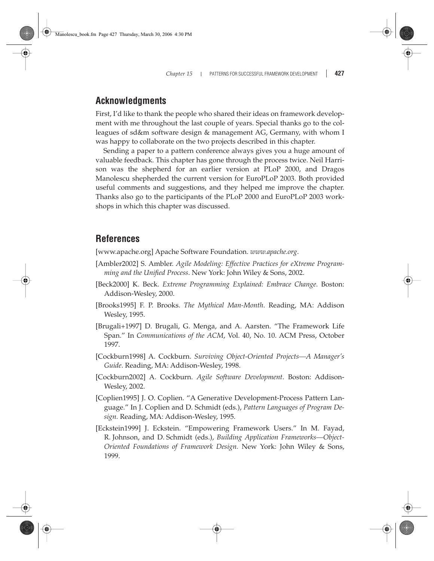### **Acknowledgments**

First, I'd like to thank the people who shared their ideas on framework development with me throughout the last couple of years. Special thanks go to the colleagues of sd&m software design & management AG, Germany, with whom I was happy to collaborate on the two projects described in this chapter.

Sending a paper to a pattern conference always gives you a huge amount of valuable feedback. This chapter has gone through the process twice. Neil Harrison was the shepherd for an earlier version at PLoP 2000, and Dragos Manolescu shepherded the current version for EuroPLoP 2003. Both provided useful comments and suggestions, and they helped me improve the chapter. Thanks also go to the participants of the PLoP 2000 and EuroPLoP 2003 workshops in which this chapter was discussed.

### **References**

[www.apache.org] Apache Software Foundation. *www.apache.org*.

- [Ambler2002] S. Ambler. *Agile Modeling: Effective Practices for eXtreme Programming and the Unified Process*. New York: John Wiley & Sons, 2002.
- [Beck2000] K. Beck. *Extreme Programming Explained: Embrace Change*. Boston: Addison-Wesley, 2000.
- [Brooks1995] F. P. Brooks. *The Mythical Man-Month*. Reading, MA: Addison Wesley, 1995.
- [Brugali+1997] D. Brugali, G. Menga, and A. Aarsten. "The Framework Life Span." In *Communications of the ACM*, Vol. 40, No. 10. ACM Press, October 1997.
- [Cockburn1998] A. Cockburn. *Surviving Object-Oriented Projects—A Manager's Guide*. Reading, MA: Addison-Wesley, 1998.
- [Cockburn2002] A. Cockburn. *Agile Software Development*. Boston: Addison-Wesley, 2002.
- [Coplien1995] J. O. Coplien. "A Generative Development-Process Pattern Language." In J. Coplien and D. Schmidt (eds.), *Pattern Languages of Program Design.* Reading, MA: Addison-Wesley, 1995.
- [Eckstein1999] J. Eckstein. "Empowering Framework Users." In M. Fayad, R. Johnson, and D. Schmidt (eds.), *Building Application Frameworks—Object-Oriented Foundations of Framework Design.* New York: John Wiley & Sons, 1999.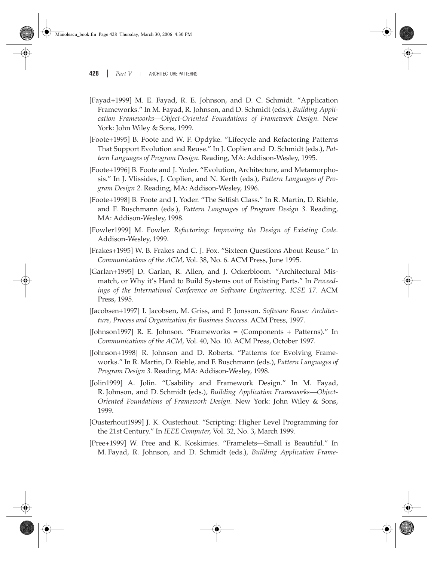- [Fayad+1999] M. E. Fayad, R. E. Johnson, and D. C. Schmidt. "Application Frameworks." In M. Fayad, R. Johnson, and D. Schmidt (eds.), *Building Application Frameworks—Object-Oriented Foundations of Framework Design.* New York: John Wiley & Sons, 1999.
- [Foote+1995] B. Foote and W. F. Opdyke. "Lifecycle and Refactoring Patterns That Support Evolution and Reuse." In J. Coplien and D. Schmidt (eds.), *Pattern Languages of Program Design.* Reading, MA: Addison-Wesley, 1995.
- [Foote+1996] B. Foote and J. Yoder. "Evolution, Architecture, and Metamorphosis." In J. Vlissides, J. Coplien, and N. Kerth (eds.), *Pattern Languages of Program Design 2*. Reading, MA: Addison-Wesley, 1996.
- [Foote+1998] B. Foote and J. Yoder. "The Selfish Class." In R. Martin, D. Riehle, and F. Buschmann (eds.), *Pattern Languages of Program Design 3*. Reading, MA: Addison-Wesley, 1998.
- [Fowler1999] M. Fowler. *Refactoring: Improving the Design of Existing Code*. Addison-Wesley, 1999.
- [Frakes+1995] W. B. Frakes and C. J. Fox. "Sixteen Questions About Reuse." In *Communications of the ACM*, Vol. 38, No. 6. ACM Press, June 1995.
- [Garlan+1995] D. Garlan, R. Allen, and J. Ockerbloom. "Architectural Mismatch, or Why it's Hard to Build Systems out of Existing Parts." In *Proceedings of the International Conference on Software Engineering, ICSE 17*. ACM Press, 1995.
- [Jacobsen+1997] I. Jacobsen, M. Griss, and P. Jonsson. *Software Reuse: Architecture, Process and Organization for Business Success*. ACM Press, 1997.
- [Johnson1997] R. E. Johnson. "Frameworks = (Components + Patterns)." In *Communications of the ACM*, Vol. 40, No. 10. ACM Press, October 1997.
- [Johnson+1998] R. Johnson and D. Roberts. "Patterns for Evolving Frameworks." In R. Martin, D. Riehle, and F. Buschmann (eds.), *Pattern Languages of Program Design 3*. Reading, MA: Addison-Wesley, 1998.
- [Jolin1999] A. Jolin. "Usability and Framework Design." In M. Fayad, R. Johnson, and D. Schmidt (eds.), *Building Application Frameworks—Object-Oriented Foundations of Framework Design.* New York: John Wiley & Sons, 1999.
- [Ousterhout1999] J. K. Ousterhout. "Scripting: Higher Level Programming for the 21st Century." In *IEEE Computer*, Vol. 32, No. 3, March 1999.
- [Pree+1999] W. Pree and K. Koskimies. "Framelets—Small is Beautiful." In M. Fayad, R. Johnson, and D. Schmidt (eds.), *Building Application Frame-*